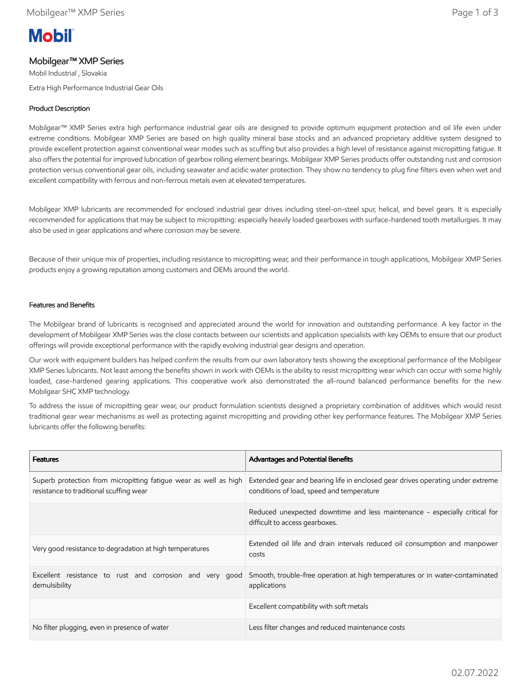# **Mobil**

## Mobilgear™ XMP Series

Mobil Industrial , Slovakia Extra High Performance Industrial Gear Oils

## Product Description

Mobilgear™ XMP Series extra high performance industrial gear oils are designed to provide optimum equipment protection and oil life even under extreme conditions. Mobilgear XMP Series are based on high quality mineral base stocks and an advanced proprietary additive system designed to provide excellent protection against conventional wear modes such as scuffing but also provides a high level of resistance against micropitting fatigue. It also offers the potential for improved lubrication of gearbox rolling element bearings. Mobilgear XMP Series products offer outstanding rust and corrosion protection versus conventional gear oils, including seawater and acidic water protection. They show no tendency to plug fine filters even when wet and excellent compatibility with ferrous and non-ferrous metals even at elevated temperatures.

Mobilgear XMP lubricants are recommended for enclosed industrial gear drives including steel-on-steel spur, helical, and bevel gears. It is especially recommended for applications that may be subject to micropitting: especially heavily loaded gearboxes with surface-hardened tooth metallurgies. It may also be used in gear applications and where corrosion may be severe.

Because of their unique mix of properties, including resistance to micropitting wear, and their performance in tough applications, Mobilgear XMP Series products enjoy a growing reputation among customers and OEMs around the world.

## Features and Benefits

The Mobilgear brand of lubricants is recognised and appreciated around the world for innovation and outstanding performance. A key factor in the development of Mobilgear XMP Series was the close contacts between our scientists and application specialists with key OEMs to ensure that our product offerings will provide exceptional performance with the rapidly evolving industrial gear designs and operation.

Our work with equipment builders has helped confirm the results from our own laboratory tests showing the exceptional performance of the Mobilgear XMP Series lubricants. Not least among the benefits shown in work with OEMs is the ability to resist micropitting wear which can occur with some highly loaded, case-hardened gearing applications. This cooperative work also demonstrated the all-round balanced performance benefits for the new Mobilgear SHC XMP technology.

To address the issue of micropitting gear wear, our product formulation scientists designed a proprietary combination of additives which would resist traditional gear wear mechanisms as well as protecting against micropitting and providing other key performance features. The Mobilgear XMP Series lubricants offer the following benefits:

| <b>Features</b>                                                                                             | <b>Advantages and Potential Benefits</b>                                                                                    |
|-------------------------------------------------------------------------------------------------------------|-----------------------------------------------------------------------------------------------------------------------------|
| Superb protection from micropitting fatique wear as well as high<br>resistance to traditional scuffing wear | Extended gear and bearing life in enclosed gear drives operating under extreme<br>conditions of load, speed and temperature |
|                                                                                                             | Reduced unexpected downtime and less maintenance - especially critical for<br>difficult to access gearboxes.                |
| Very good resistance to degradation at high temperatures                                                    | Extended oil life and drain intervals reduced oil consumption and manpower<br>costs                                         |
| Excellent resistance to rust and corrosion and very good<br>demulsibility                                   | Smooth, trouble-free operation at high temperatures or in water-contaminated<br>applications                                |
|                                                                                                             | Excellent compatibility with soft metals                                                                                    |
| No filter plugging, even in presence of water                                                               | Less filter changes and reduced maintenance costs                                                                           |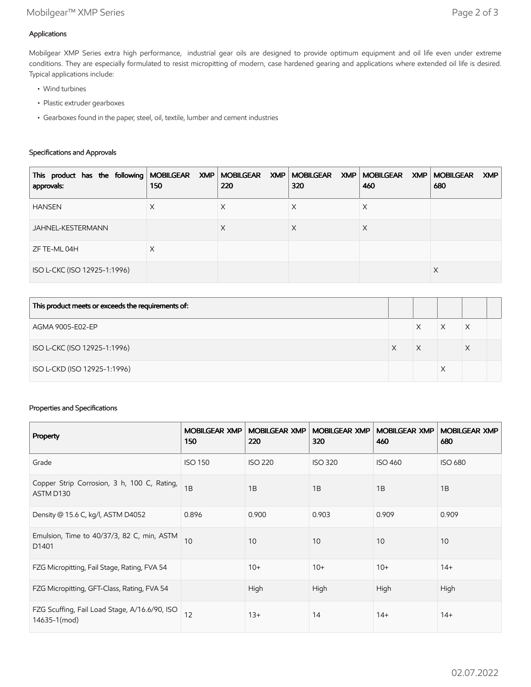## Applications

Mobilgear XMP Series extra high performance, industrial gear oils are designed to provide optimum equipment and oil life even under extreme conditions. They are especially formulated to resist micropitting of modern, case hardened gearing and applications where extended oil life is desired. Typical applications include:

- Wind turbines
- Plastic extruder gearboxes
- Gearboxes found in the paper, steel, oil, textile, lumber and cement industries

### Specifications and Approvals

| This product has the following   MOBILGEAR XMP   MOBILGEAR XMP   MOBILGEAR XMP   MOBILGEAR XMP  <br>approvals: | 150 | 220 | 320 | 460 | <b>MOBILGEAR</b><br><b>XMP</b><br>680 |
|----------------------------------------------------------------------------------------------------------------|-----|-----|-----|-----|---------------------------------------|
| <b>HANSEN</b>                                                                                                  | X   | Х   | ∧   | Х   |                                       |
| JAHNEL-KESTERMANN                                                                                              |     | X   | Х   | Χ   |                                       |
| ZF TE-ML 04H                                                                                                   | X   |     |     |     |                                       |
| ISO L-CKC (ISO 12925-1:1996)                                                                                   |     |     |     |     | X                                     |

| This product meets or exceeds the requirements of: |   |   |  |
|----------------------------------------------------|---|---|--|
| AGMA 9005-E02-EP                                   | Χ | Х |  |
| ISO L-CKC (ISO 12925-1:1996)                       | Χ | X |  |
| ISO L-CKD (ISO 12925-1:1996)                       |   |   |  |

### Properties and Specifications

| Property                                                      | <b>MOBILGEAR XMP</b><br>150 | <b>MOBILGEAR XMP</b><br>220 | <b>MOBILGEAR XMP</b><br>320 | <b>MOBILGEAR XMP</b><br>460 | <b>MOBILGEAR XMP</b><br>680 |
|---------------------------------------------------------------|-----------------------------|-----------------------------|-----------------------------|-----------------------------|-----------------------------|
| Grade                                                         | <b>ISO 150</b>              | <b>ISO 220</b>              | <b>ISO 320</b>              | <b>ISO 460</b>              | <b>ISO 680</b>              |
| Copper Strip Corrosion, 3 h, 100 C, Rating,<br>ASTM D130      | 1B                          | 1B                          | 1B                          | 1B                          | 1B                          |
| Density @ 15.6 C, kg/l, ASTM D4052                            | 0.896                       | 0.900                       | 0.903                       | 0.909                       | 0.909                       |
| Emulsion, Time to 40/37/3, 82 C, min, ASTM<br>D1401           | 10                          | 10                          | 10                          | 10                          | 10                          |
| FZG Micropitting, Fail Stage, Rating, FVA 54                  |                             | $10+$                       | $10+$                       | $10+$                       | $14+$                       |
| FZG Micropitting, GFT-Class, Rating, FVA 54                   |                             | High                        | High                        | High                        | High                        |
| FZG Scuffing, Fail Load Stage, A/16.6/90, ISO<br>14635-1(mod) | 12                          | $13+$                       | 14                          | $14+$                       | $14+$                       |